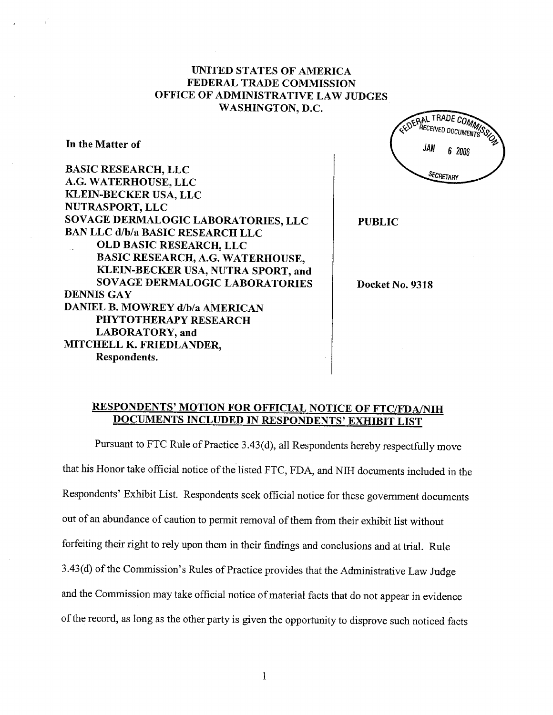## UNITED STATES OF AMERICA FEDERAL TRADE COMMISSION OFFICE OF ADMINISTRATIVE LAW JUDGES WASHINGTON, D.C.

In the Matter of

BASIC RESEARCH, LLC A.G. WATERHOUSE, LLC KLEIN-BECKER USA, LLC NUTRASPORT, LLC SOVAGE DERMALOGIC LABORATORIES, LLC BAN LLC d/b/a BASIC RESEARCH LLC OLD BASIC RESEARCH, LLC BASIC RESEARCH, A.G. WATERHOUSE, KLEIN-BECKER USA, NUTRA SPORT, and SOVAGE DERMALOGIC LABORATORIES DENNIS GAY DANIEL B. MOWREY d/b/a AMERICAN PHYTOTHERAPY RESEARCH LABORATORY, and MITCHELL K. FRIEDLANDER, Respondents.

**DERAL TRADE COMMIT** JAN 6 2006 **SECRETARY** PUBLIC

Docket No. 9318

# RESPONDENTS' MOTION FOR OFFICIAL NOTICE OF FTC/FDA/NIH DOCUMENTS INCLUDED IN RESPONDENTS' EXHIBIT LIST

Pursuant to FTC Rule of Practice 3.43(d), all Respondents hereby respectfully move that his Honor take official notice of the listed FTC, FDA, and NIH documents included in the Respondents' Exhibit List. Respondents seek official notice for these government documents out of an abundance of caution to permit removal of them from their exhibit list without forfeiting their right to rely upon them in their findings and conclusions and at triaL. Rule 3.43(d) of the Commission's Rules of Practice provides that the Administrative Law Judge and the Commission may take official notice of material facts that do not appear in evidence of the record, as long as the other party is given the opportnity to disprove such noticed facts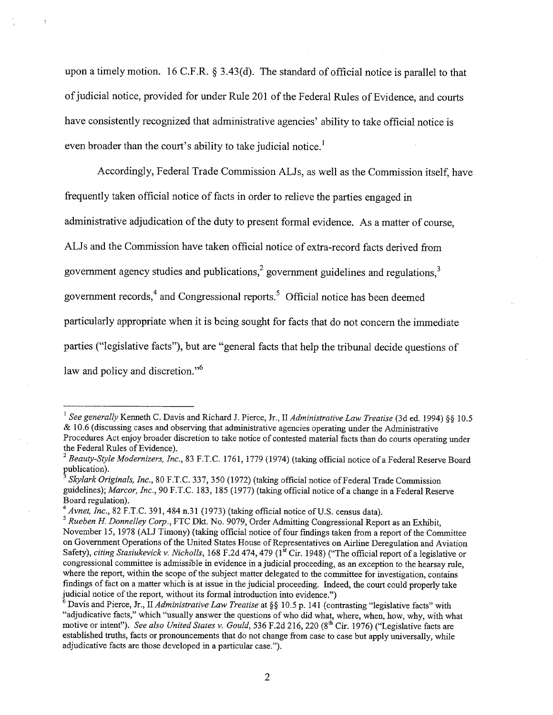upon a timely motion. 16 C.F.R.  $\S 3.43(d)$ . The standard of official notice is parallel to that of judicial notice, provided for under Rule 201 of the Federal Rules of Evidence, and courts have consistently recognized that administrative agencies' ability to take official notice is even broader than the court's ability to take judicial notice.<sup>1</sup>

Accordingly, Federal Trade Commission ALJs, as well as the Commission itself, have frequently taken official notice of facts in order to relieve the paries engaged in administrative adjudication of the duty to present formal evidence. As a matter of course, ALJs and the Commission have taken official notice of extra-record facts derived from government agency studies and publications, $<sup>2</sup>$  government guidelines and regulations, $<sup>3</sup>$ </sup></sup> government records, $4$  and Congressional reports.<sup>5</sup> Official notice has been deemed paricularly appropriate when it is being sought for facts that do not concern the immediate parties ("legislative facts"), but are "general facts that help the tribunal decide questions of law and policy and discretion."<sup>6</sup>

<sup>&</sup>lt;sup>1</sup> See generally Kenneth C. Davis and Richard J. Pierce, Jr., II Administrative Law Treatise (3d ed. 1994) §§ 10.5 & 10.6 (discussing cases and observing that administrative agencies operating under the Administrative Procedures Act enjoy broader discretion to take notice of contested material facts than do courts operating under

the Federal Rules of Evidence).<br><sup>2</sup> Beauty-Style Modernizers, Inc., 83 F.T.C. 1761, 1779 (1974) (taking official notice of a Federal Reserve Board publication).

Skylark Originals, Inc., 80 F.T.C. 337, 350 (1972) (taking official notice of Federal Trade Commission guidelines); Marcor, Inc., 90 F.T.C. 183, 185 (1977) (taking official notice of a change in a Federal Reserve Board regulation).

<sup>&</sup>lt;sup>4</sup> Avnet, Inc., 82 F.T.C. 391, 484 n.31 (1973) (taking official notice of U.S. census data).<br><sup>5</sup> Rueben H. Donnelley Corp., FTC Dkt. No. 9079, Order Admitting Congressional Report as an Exhibit, November 15, 1978 (ALJ Timony) (taking official notice of four fmdings taken from a report of the Committee on Governent Operations of the United States House of Representatives on Airline Deregulation and Aviation Safety), citing Stasiukevick v. Nicholls, 168 F.2d 474, 479 (1<sup>st</sup> Cir. 1948) ("The official report of a legislative or congressional committee is admissible in evidence in a judicial proceeding, as an exception to the hearsay rule, where the report, within the scope of the subject matter delegated to the committee for investigation, contains findings of fact on a matter which is at issue in the judicial proceeding. Indeed, the cour could properly take judicial notice of the report, without its formal introduction into evidence.")

<sup>&</sup>lt;sup>6</sup> Davis and Pierce, Jr., II *Administrative Law Treatise* at §§ 10.5 p. 141 (contrasting "legislative facts" with "adjudicative facts," which "usually answer the questions of who did what, where, when, how, why, with what motive or intent"). See also United States v. Gould, 536 F.2d 216, 220 (8<sup>th</sup> Cir. 1976) ("Legislative facts are established truths, facts or pronouncements that do not change from case to case but apply universally, while adjudicative facts are those developed in a paricular case.").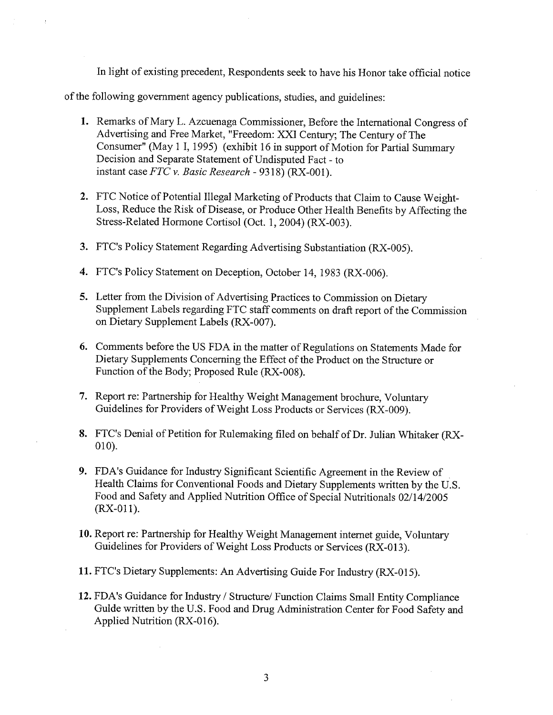In light of existing precedent, Respondents seek to have his Honor take official notice

of the following government agency publications, studies, and guidelines:

- 1. Remarks of Mary L. Azcuenaga Commissioner, Before the International Congress of Advertising and Free Market, "Freedom: XXI Century; The Century of The Consumer" (May 1 I, 1995) (exhibit 16 in support of Motion for Parial Summar Decision and Separate Statement of Undisputed Fact - to instant case FTC v. Basic Research - 9318) (RX-001).
- 2. FTC Notice of Potential Ilegal Marketing of Products that Claim to Cause Weight-Loss, Reduce the Risk of Disease, or Produce Other Health Benefits by Affecting the Stress-Related Hormone Cortisol (Oct. 1,2004) (RX-003).
- 3. FTC's Policy Statement Regarding Advertising Substantiation (RX-005).
- 4. FTC's Policy Statement on Deception, October 14, 1983 (RX-006).
- 5. Letter from the Division of Advertising Practices to Commission on Dietary Supplement Labels regarding FTC staff comments on draft report of the Commission on Dietary Supplement Labels (RX-007).
- 6. Comments before the US FDA in the matter of Regulations on Statements Made for Dietary Supplements Concerning the Effect of the Product on the Structure or Function of the Body; Proposed Rule (RX-008).
- 7. Report re: Parnership for Healthy Weight Management brochure, Voluntary Guidelines for Providers of Weight Loss Products or Services (RX-009).
- 8. FTC's Denial of Petition for Rulemaking filed on behalf of Dr. Julian Whitaker (RX-010).
- 9. FDA's Guidance for Industry Significant Scientific Agreement in the Review of . Health Claims for Conventional Foods and Dietary Supplements written by the U.S. Food and Safety and Applied Nutrition Office of Special Nutritionals 02/14/2005 (RX-011).
- 10. Report re: Partnership for Healthy Weight Management internet guide, Voluntary Guidelines for Providers of Weight Loss Products or Services (RX-013).
- 11. FTC's Dietary Supplements: An Advertising Guide For Industry (RX-015).
- 12. FDA's Guidance for Industry / Structue/ Function Claims Small Entity Compliance GuIde wrtten by the U.S. Food and Drug Administration Center for Food Safety and Applied Nutrition (RX-016).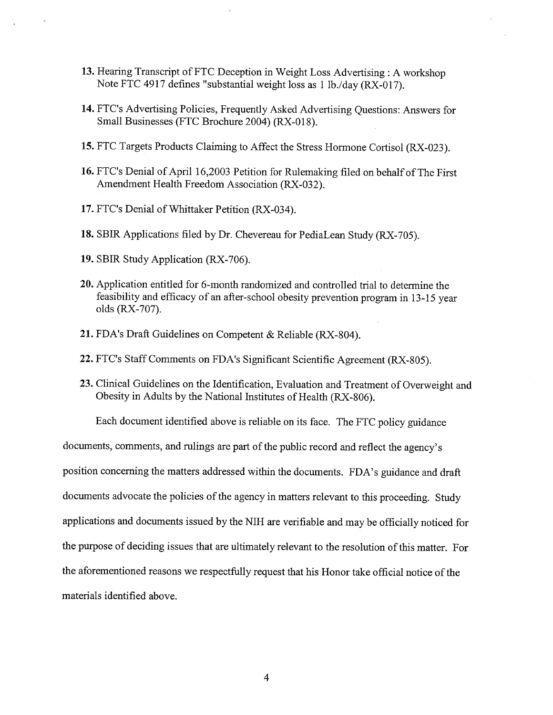- 13. Hearng Transcript of FTC Deception in Weight Loss Advertising: A workshop Note FTC 4917 defines "substantial weight loss as 1 lb./day (RX-017).
- 14. FTC's Advertising Policies, Frequently Asked Advertising Questions: Answers for Small Businesses (FTC Brochure 2004) (RX-018).
- 15. FTC Targets Products Claiming to Affect the Stress Hormone Cortisol (RX-023).
- 16. FTC's Denial of April 16,2003 Petition for Rulemaking filed on behalf of The First Amendment Health Freedom Association (RX-032).
- 17. FTC's Denial of Whittaker Petition (RX-034).
- 18. SBIR Applications filed by Dr. Chevereau for PediaLean Study (RX-705).
- 19. SBIR Study Application (RX-706).
- 20. Application entitled for 6-month randomized and controlled trial to determine the feasibility and efficacy of an after-school obesity prevention program in 13-15 year olds (RX-707).
- 21. FDA's Draft Guidelines on Competent & Reliable (RX-804).
- 22. FTC's Staff Comments on FDA's Signficant Scientific Agreement (RX-805).
- 23. Clinical Guidelines on the Identification, Evaluation and Treatment of Overweight and Obesity in Adults by the National Institutes of Health (RX-806).

Each document identified above is reliable on its face. The FTC policy guidance

documents, comments, and rulings are part of the public record and reflect the agency's position concerning the matters addressed within the documents. FDA's guidance and draft documents advocate the policies of the agency in matters relevant to this proceeding. Study applications and documents issued by the NIH are verifiable and may be officially noticed for the purpose of deciding issues that are ultimately relevant to the resolution of this matter. For the aforementioned reasons we respectfully request that his Honor take official notice of the materials identified above.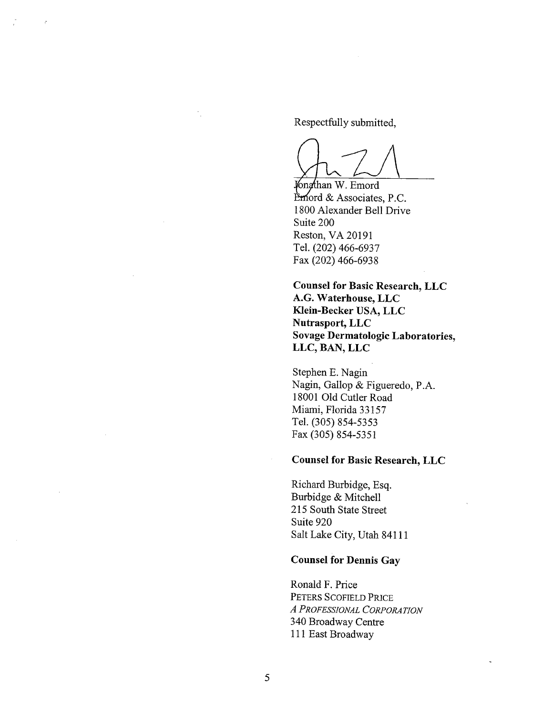Respectfully submitted,

Ongthan W. Emord

Emord & Associates, P.C. 1800 Alexander Bell Drive Suite 200 Reston, VA 20191 TeL. (202) 466-6937 Fax (202) 466-6938

Counsel for Basic Research, LLC A.G. Waterhouse, LLC Klein-Becker USA, LLC Nutrasport, LLC Sovage Dermatologic Laboratories, LLC, BAN, LLC

Stephen E. Nagin Nagin, Gallop & Figueredo, P.A. 18001 Old Cutler Road Miami, Florida 33157 TeL. (305) 854-5353 Fax (305) 854-5351

# Counsel for Basic Research, LLC

Richard Burbidge, Esq. Burbidge & Mitchell 215 South State Street Suite 920 Salt Lake City, Utah 84111

## Counsel for Dennis Gay

Ronald F. Price PETERS SCOFIELD PRICE A PROFESSIONAL CORPORATION 340 Broadway Centre 111 East Broadway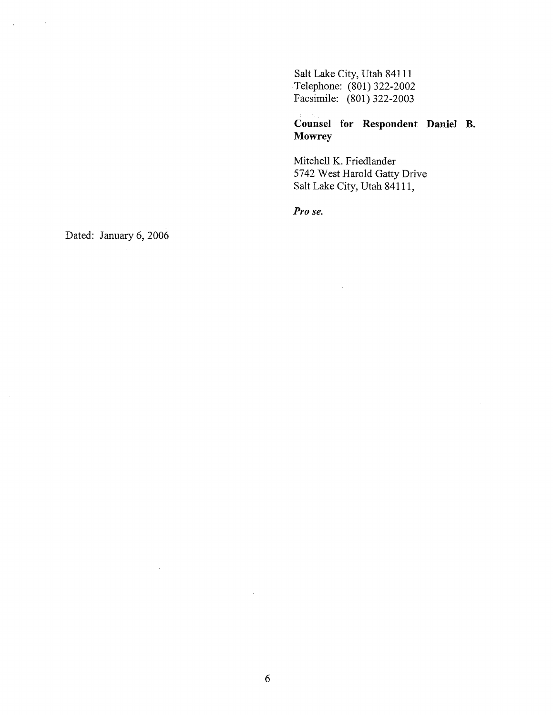Salt Lake City, Utah 84111 Telephone: (801) 322-2002 Facsimile: (801) 322-2003

## Counsel for Respondent Daniel B. Mowrey

Mitchell K. Friedlander 5742 West Harold Gatty Drive Salt Lake City, Utah 84111,

Pro se.

Dated: January 6, 2006

 $\bar{z}$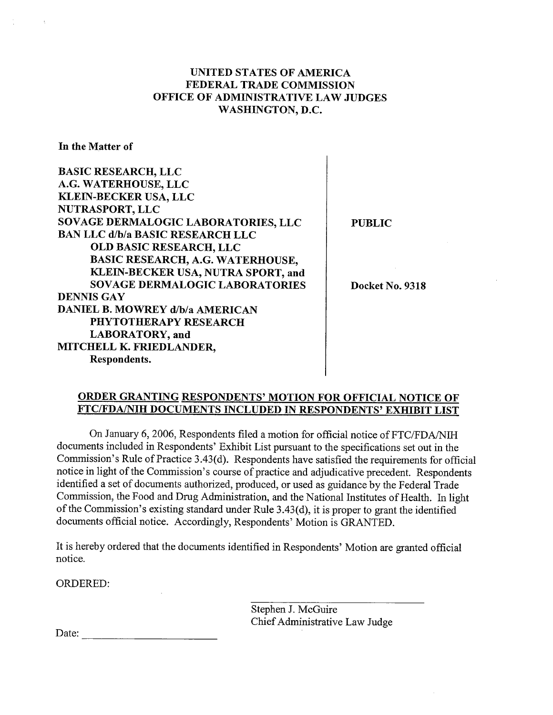## UNITED STATES OF AMERICA FEDERAL TRADE COMMISSION OFFICE OF ADMINISTRATIVE LAW JUDGES WASHINGTON, D.C.

In the Matter of

BASIC RESEARCH, LLC A.G. WATERHOUSE,LLC KLEIN-BECKER USA, LLC NUTRASPORT, LLC SOVAGE DERMALOGIC LABORATORIES, LLC BAN LLC d/b/a BASIC RESEARCH LLC OLD BASIC RESEARCH, LLC BASIC RESEARCH, A.G. WATERHOUSE, KLEIN-BECKER USA, NUTRA SPORT, and SOVAGE DERMALOGIC LABORATORIES DENNIS GAY DANIEL B. MOWREY d/b/a AMERICAN PHYTOTHERAPY RESEARCH LABORATORY, and MITCHELL K. FREDLANDER, Respondents.

PUBLIC

Docket No. 9318

### ORDER GRANTING RESPONDENTS' MOTION FOR OFFICIAL NOTICE OF FTC/FDA/IH DOCUMENTS INCLUDED IN RESPONDENTS' EXHIBIT LIST

On January 6, 2006, Respondents filed a motion for official notice of FTC/FDA/NIH documents included in Respondents' Exhibit List pursuant to the specifications set out in the Commission's Rule of Practice 3.43(d). Respondents have satisfied the requirements for official notice in light of the Commission's course of practice and adjudicative precedent. Respondents identified a set of documents authorized, produced, or used as guidance by the Federal Trade Commission, the Food and Drug Administration, and the National Institutes of Health. In light of the Commission's existing standard under Rule 3.43(d), it is proper to grant the identified documents official notice. Accordingly, Respondents' Motion is GRANTED.

It is hereby ordered that the documents identified in Respondents' Motion are granted official notice.

ORDERED:

Stephen J. McGuire Chief Administrative Law Judge

Date:  $\qquad \qquad \qquad$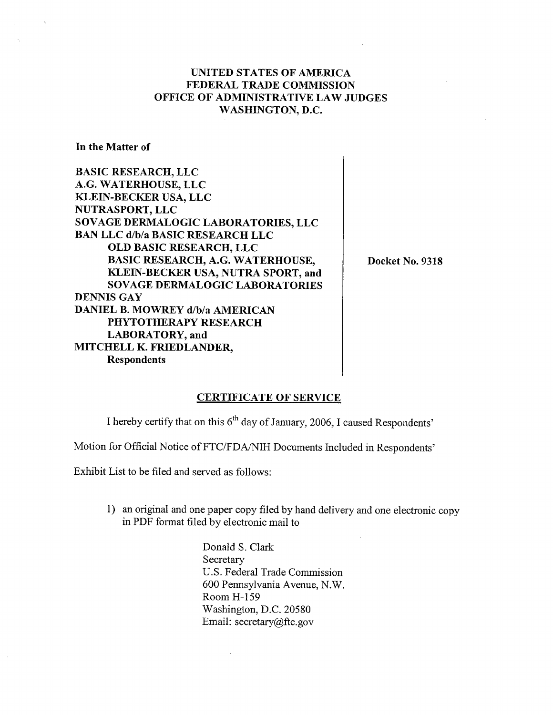## UNITED STATES OF AMERICA FEDERAL TRADE COMMISSION OFFICE OF ADMINISTRATIVE LAW JUDGES WASHINGTON, D.C.

In the Matter of

BASIC RESEARCH, LLC A.G. WATERHOUSE, LLC KLEIN-BECKER USA, LLC NUTRASPORT, LLC SOVAGE DERMALOGIC LABORATORIES, LLC BAN LLC d/b/a BASIC RESEARCH LLC OLD BASIC RESEARCH, LLC BASIC RESEARCH, A.G. WATERHOUSE, KLEIN-BECKER USA, NUTRA SPORT, and SOVAGE DERMALOGIC LABORATORIES DENNIS GAY DANIEL B. MOWREY d/b/a AMERICAN PHYTOTHERAPY RESEARCH LABORATORY, and MITCHELL K. FRIEDLANDER, Respondents

Docket No. 9318

#### CERTIFICATE OF SERVICE

I hereby certify that on this 6<sup>th</sup> day of January, 2006, I caused Respondents'

Motion for Official Notice of FTC/FDA/NIH Documents Included in Respondents'

Exhibit List to be filed and served as follows:

1) an original and one paper copy filed by hand delivery and one electronic copy in PDF format filed by electronic mail to

> Donald S. Clark Secretary u.S. Federal Trade Commission 600 Pennsylvania Avenue, N.W. Room H-159 Washington, D.C. 20580 Email: secretary $@$ ftc.gov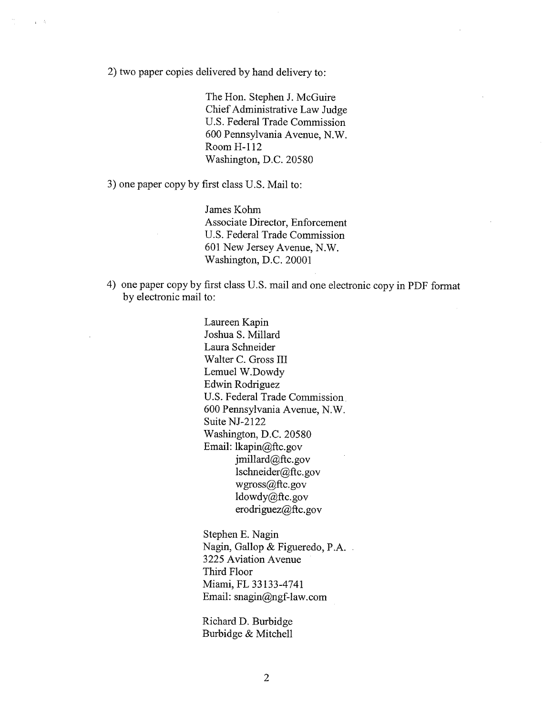2) two paper copies delivered by hand delivery to:

The Hon. Stephen J. McGuire Chief Administrative Law Judge U.S. Federal Trade Commission 600 Pennsylvania Avenue, N.W. Room H-112 Washington, D.C. 20580

3) one paper copy by first class U.S. Mail to:

James Kohm Associate Director, Enforcement U.S. Federal Trade Commission 601 New Jersey Avenue, N.W. Washington, D.C. 20001

4) one paper copy by first class U.S. mail and one electronic copy in PDF format by electronic mail to:

> Laureen Kapin Joshua S. Milard Laura Schneider Walter C. Gross III Lemuel W.Dowdy Edwin Rodriguez U.S. Federal Trade Commission. 600 Pennsylvania Avenue, N.W. Suite NJ-2122 Washington, D.C. 20580 Email: lkapin@ftc.gov  $j$ millard $@$ ftc.gov lschneider@ftc.gov wgross@ftc.gov  $ldowdy@ftc.gov$ erodriguez $(a)$ ftc.gov

Stephen E. Nagin Nagin, Gallop & Figueredo, P.A. 3225 Aviation Avenue Third Floor Miami, FL 33133-4741 Email:  $snagin@ngf-law.com$ 

Richard D. Burbidge Burbidge & Mitchell